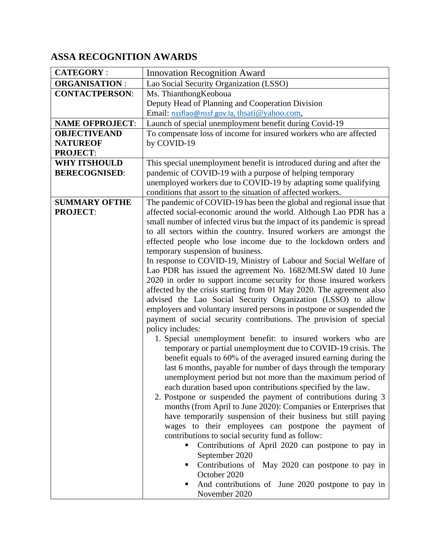## **ASSA RECOGNITION AWARDS**

| <b>CATEGORY:</b>                        | <b>Innovation Recognition Award</b>                                                                                                       |  |  |
|-----------------------------------------|-------------------------------------------------------------------------------------------------------------------------------------------|--|--|
| <b>ORGANISATION:</b>                    | Lao Social Security Organization (LSSO)                                                                                                   |  |  |
| <b>CONTACTPERSON:</b>                   | Ms. ThianthongKeoboua                                                                                                                     |  |  |
|                                         | Deputy Head of Planning and Cooperation Division                                                                                          |  |  |
|                                         | Email: nssflao@nssf.gov.la, thsati@yahoo.com,                                                                                             |  |  |
| <b>NAME OFPROJECT:</b>                  | Launch of special unemployment benefit during Covid-19                                                                                    |  |  |
| <b>OBJECTIVEAND</b>                     | To compensate loss of income for insured workers who are affected                                                                         |  |  |
| <b>NATUREOF</b>                         | by COVID-19                                                                                                                               |  |  |
| <b>PROJECT:</b>                         |                                                                                                                                           |  |  |
| <b>WHY ITSHOULD</b>                     | This special unemployment benefit is introduced during and after the                                                                      |  |  |
| <b>BERECOGNISED:</b>                    | pandemic of COVID-19 with a purpose of helping temporary                                                                                  |  |  |
|                                         | unemployed workers due to COVID-19 by adapting some qualifying                                                                            |  |  |
|                                         | conditions that assort to the situation of affected workers.                                                                              |  |  |
| <b>SUMMARY OFTHE</b><br><b>PROJECT:</b> | The pandemic of COVID-19 has been the global and regional issue that<br>affected social-economic around the world. Although Lao PDR has a |  |  |
|                                         | small number of infected virus but the impact of its pandemic is spread                                                                   |  |  |
|                                         | to all sectors within the country. Insured workers are amongst the                                                                        |  |  |
|                                         | effected people who lose income due to the lockdown orders and                                                                            |  |  |
|                                         | temporary suspension of business.                                                                                                         |  |  |
|                                         | In response to COVID-19, Ministry of Labour and Social Welfare of                                                                         |  |  |
|                                         | Lao PDR has issued the agreement No. 1682/MLSW dated 10 June                                                                              |  |  |
|                                         | 2020 in order to support income security for those insured workers                                                                        |  |  |
|                                         | affected by the crisis starting from 01 May 2020. The agreement also                                                                      |  |  |
|                                         | advised the Lao Social Security Organization (LSSO) to allow                                                                              |  |  |
|                                         | employers and voluntary insured persons in postpone or suspended the                                                                      |  |  |
|                                         | payment of social security contributions. The provision of special                                                                        |  |  |
|                                         | policy includes:                                                                                                                          |  |  |
|                                         | 1. Special unemployment benefit: to insured workers who are                                                                               |  |  |
|                                         | temporary or partial unemployment due to COVID-19 crisis. The<br>benefit equals to 60% of the averaged insured earning during the         |  |  |
|                                         | last 6 months, payable for number of days through the temporary                                                                           |  |  |
|                                         | unemployment period but not more than the maximum period of                                                                               |  |  |
|                                         | each duration based upon contributions specified by the law.                                                                              |  |  |
|                                         | 2. Postpone or suspended the payment of contributions during 3                                                                            |  |  |
|                                         | months (from April to June 2020): Companies or Enterprises that                                                                           |  |  |
|                                         | have temporarily suspension of their business but still paying                                                                            |  |  |
|                                         | wages to their employees can postpone the payment of                                                                                      |  |  |
|                                         | contributions to social security fund as follow:                                                                                          |  |  |
|                                         | Contributions of April 2020 can postpone to pay in                                                                                        |  |  |
|                                         | September 2020                                                                                                                            |  |  |
|                                         | Contributions of May 2020 can postpone to pay in                                                                                          |  |  |
|                                         | October 2020                                                                                                                              |  |  |
|                                         | And contributions of June 2020 postpone to pay in<br>п<br>November 2020                                                                   |  |  |